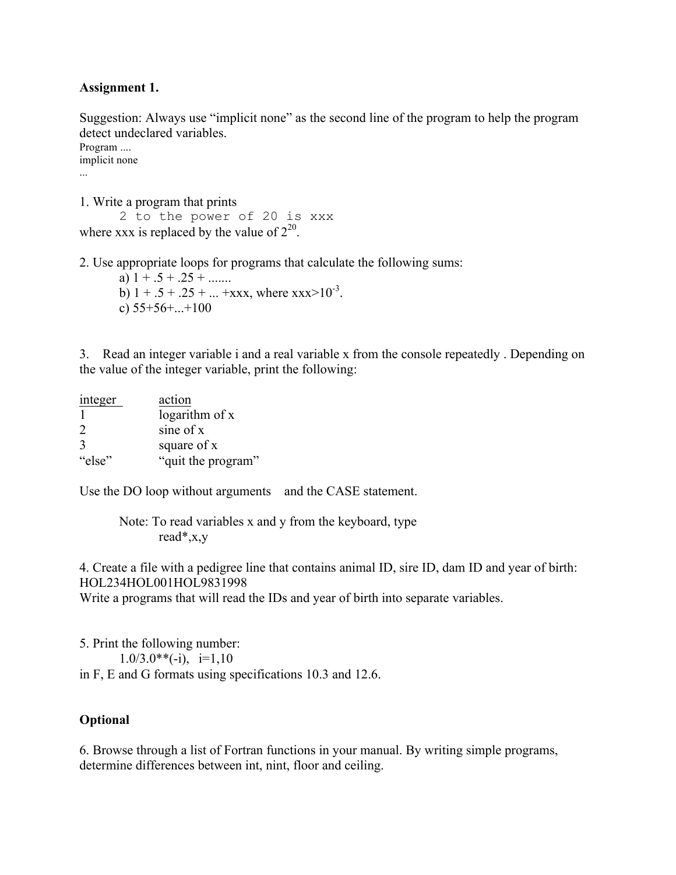### **Assignment 1.**

Suggestion: Always use "implicit none" as the second line of the program to help the program detect undeclared variables.

Program .... implicit none ...

1. Write a program that prints

2 to the power of 20 is xxx where xxx is replaced by the value of  $2^{20}$ .

2. Use appropriate loops for programs that calculate the following sums:

a)  $1 + .5 + .25 + ...$ b)  $1 + .5 + .25 + ... +$ xxx, where xxx>10<sup>-3</sup>. c)  $55+56+...+100$ 

3. Read an integer variable i and a real variable x from the console repeatedly . Depending on the value of the integer variable, print the following:

| integer       | action             |
|---------------|--------------------|
|               | logarithm of x     |
| 2             | sine of x          |
| $\mathcal{R}$ | square of x        |
| "else"        | "quit the program" |

Use the DO loop without arguments and the CASE statement.

Note: To read variables x and y from the keyboard, type read\*,x,y

4. Create a file with a pedigree line that contains animal ID, sire ID, dam ID and year of birth: HOL234HOL001HOL9831998

Write a programs that will read the IDs and year of birth into separate variables.

5. Print the following number:  $1.0/3.0**(-i), i=1,10$ in F, E and G formats using specifications 10.3 and 12.6.

## **Optional**

6. Browse through a list of Fortran functions in your manual. By writing simple programs, determine differences between int, nint, floor and ceiling.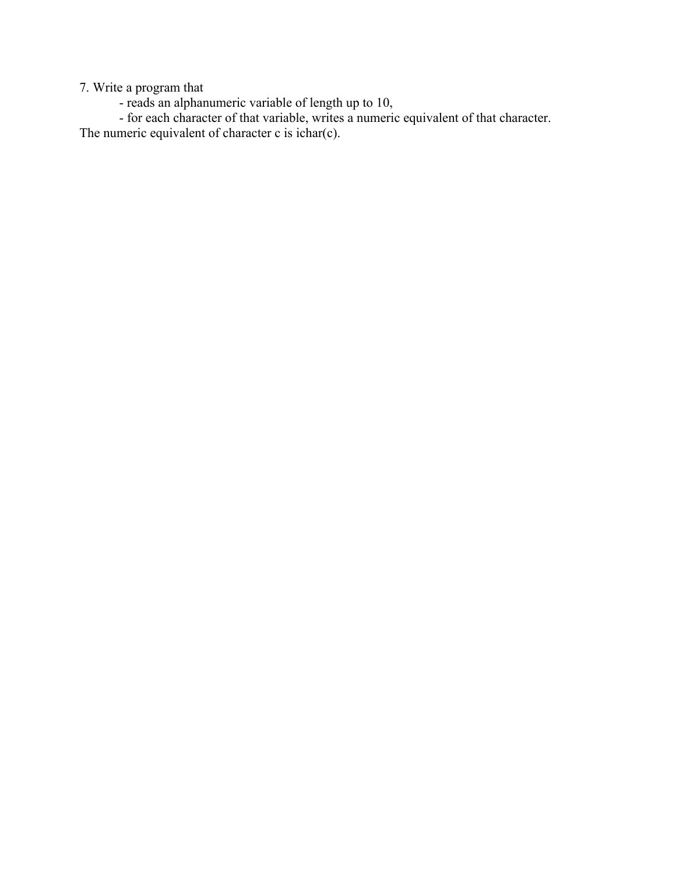7. Write a program that

- reads an alphanumeric variable of length up to 10,

- for each character of that variable, writes a numeric equivalent of that character. The numeric equivalent of character c is ichar(c).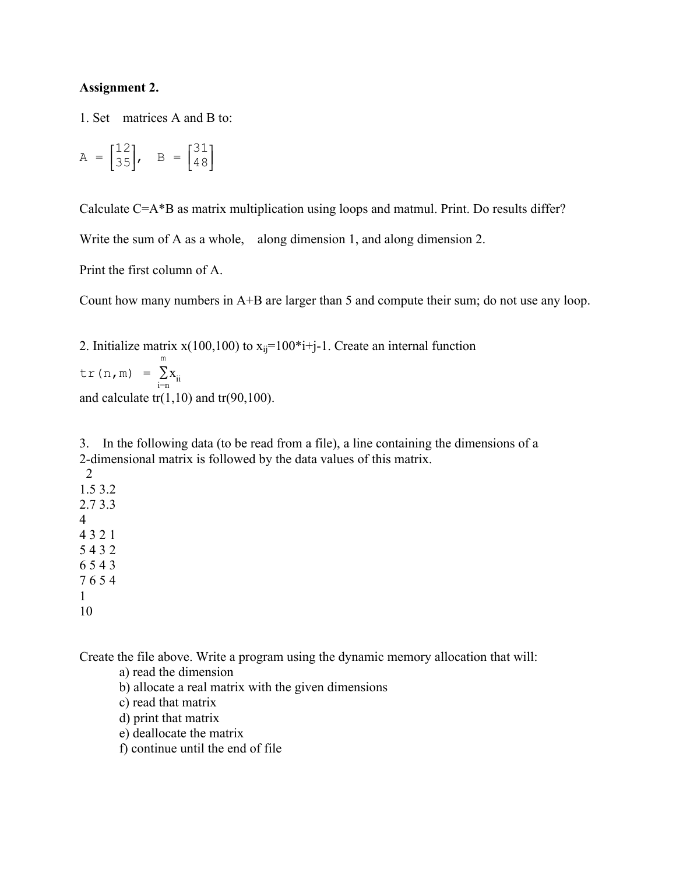#### **Assignment 2.**

1. Set matrices A and B to:

$$
A = \begin{bmatrix} 12 \\ 35 \end{bmatrix}, B = \begin{bmatrix} 31 \\ 48 \end{bmatrix}
$$

Calculate C=A\*B as matrix multiplication using loops and matmul. Print. Do results differ?

Write the sum of A as a whole, along dimension 1, and along dimension 2.

Print the first column of A.

Count how many numbers in A+B are larger than 5 and compute their sum; do not use any loop.

2. Initialize matrix  $x(100,100)$  to  $x_{ii}=100*$  i+j-1. Create an internal function

tr(n,m) = m ∑  $\sum_{i=n} X_{ii}$ and calculate  $tr(1,10)$  and  $tr(90,100)$ .

3. In the following data (to be read from a file), a line containing the dimensions of a 2-dimensional matrix is followed by the data values of this matrix.

Create the file above. Write a program using the dynamic memory allocation that will:

a) read the dimension b) allocate a real matrix with the given dimensions c) read that matrix d) print that matrix e) deallocate the matrix

f) continue until the end of file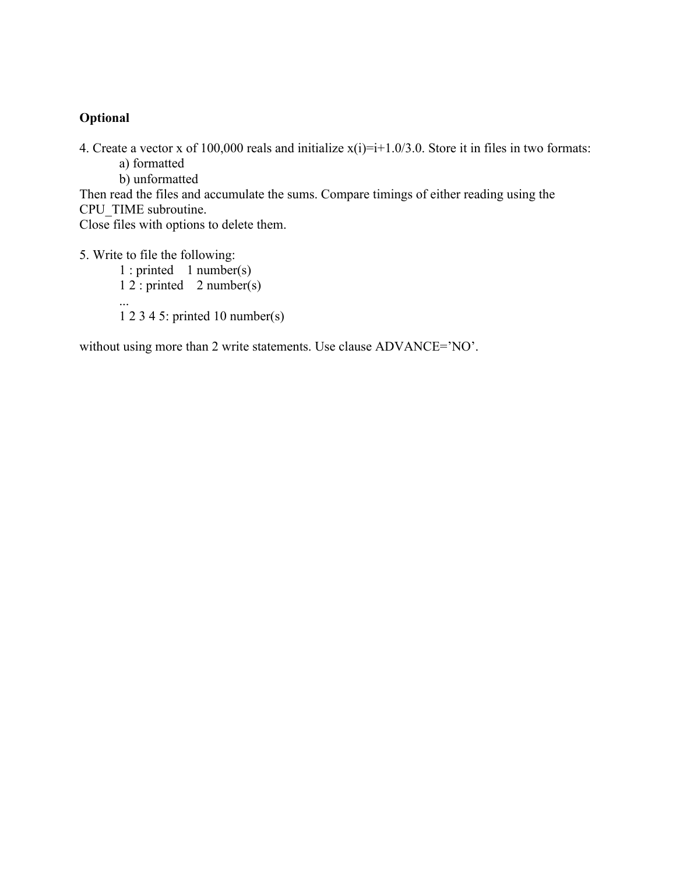4. Create a vector x of 100,000 reals and initialize x(i)=i+1.0/3.0. Store it in files in two formats:

a) formatted

b) unformatted

Then read the files and accumulate the sums. Compare timings of either reading using the CPU\_TIME subroutine.

Close files with options to delete them.

5. Write to file the following:

1 : printed 1 number(s)  $1\ 2$ : printed  $2$  number(s) ... 1 2 3 4 5: printed 10 number(s)

without using more than 2 write statements. Use clause ADVANCE='NO'.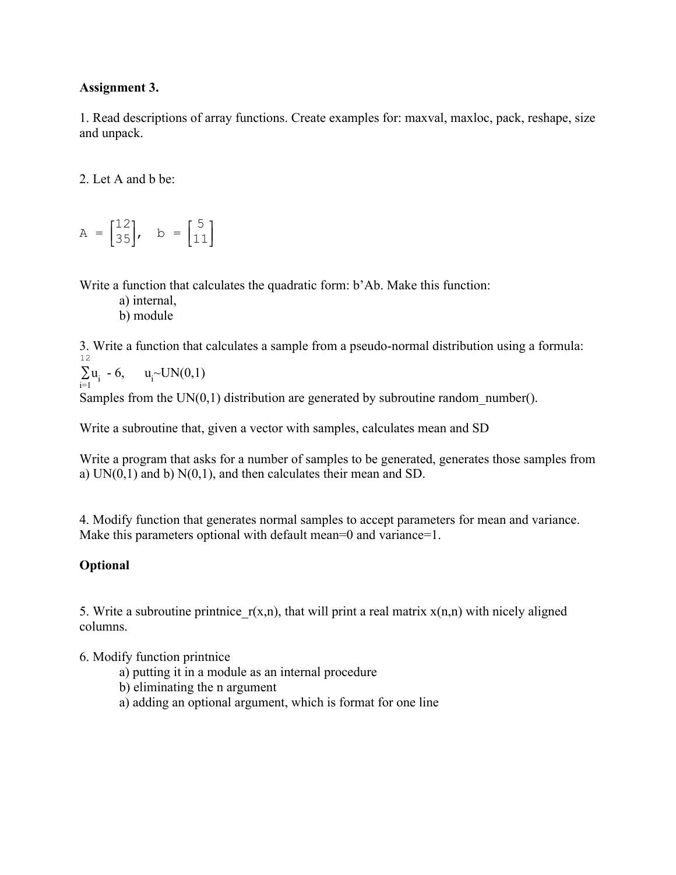## **Assignment 3.**

1. Read descriptions of array functions. Create examples for: maxval, maxloc, pack, reshape, size and unpack.

2. Let A and b be:

 $A = \begin{bmatrix} 1 & 1 & 1 \\ 1 & 1 & 1 \\ 1 & 1 & 1 \end{bmatrix}$  $\begin{bmatrix} 12 \\ 35 \end{bmatrix}$ , b =  $\begin{bmatrix} 1 \end{bmatrix}$  $\begin{bmatrix} 5 \\ 11 \end{bmatrix}$ 

Write a function that calculates the quadratic form: b'Ab. Make this function:

a) internal,

b) module

3. Write a function that calculates a sample from a pseudo-normal distribution using a formula: 12

$$
\sum_{i=1} u_i - 6, \quad u_i \sim UN(0,1)
$$

Samples from the  $UN(0,1)$  distribution are generated by subroutine random number().

Write a subroutine that, given a vector with samples, calculates mean and SD

Write a program that asks for a number of samples to be generated, generates those samples from a)  $UN(0,1)$  and b)  $N(0,1)$ , and then calculates their mean and SD.

4. Modify function that generates normal samples to accept parameters for mean and variance. Make this parameters optional with default mean=0 and variance=1.

# **Optional**

5. Write a subroutine printnice  $r(x,n)$ , that will print a real matrix  $x(n,n)$  with nicely aligned columns.

6. Modify function printnice

- a) putting it in a module as an internal procedure
- b) eliminating the n argument
- a) adding an optional argument, which is format for one line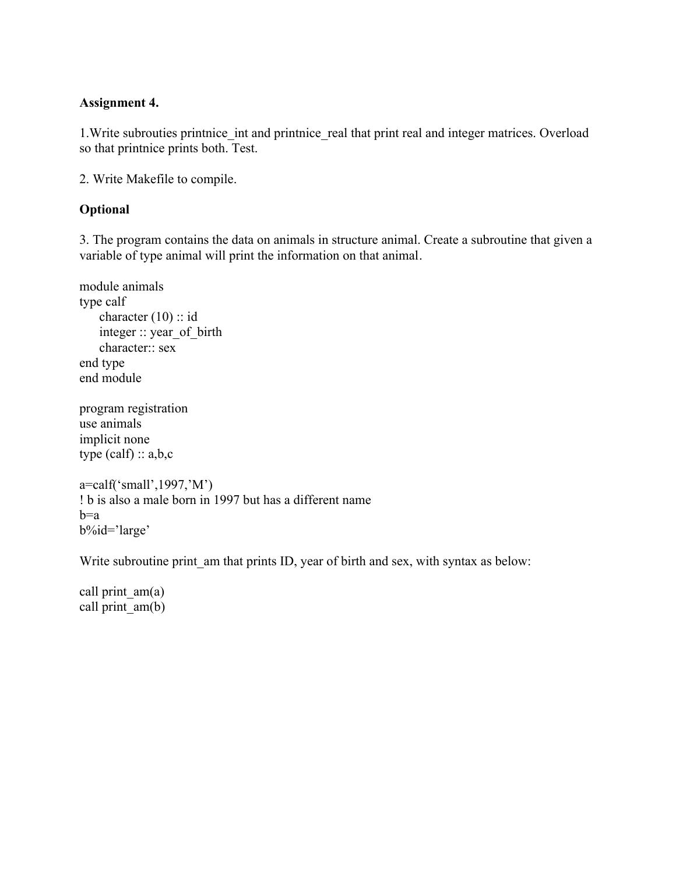## **Assignment 4.**

1. Write subrouties printnice int and printnice real that print real and integer matrices. Overload so that printnice prints both. Test.

2. Write Makefile to compile.

## **Optional**

3. The program contains the data on animals in structure animal. Create a subroutine that given a variable of type animal will print the information on that animal.

```
module animals
type calf
   character (10): id
    integer :: year_of_birth
    character:: sex
end type
end module
```

```
program registration
use animals
implicit none
type (calf): a,b,c
```

```
a=calf('small',1997,'M')
! b is also a male born in 1997 but has a different name
b=ab%id='large'
```
Write subroutine print am that prints ID, year of birth and sex, with syntax as below:

call print  $am(a)$ call print  $am(b)$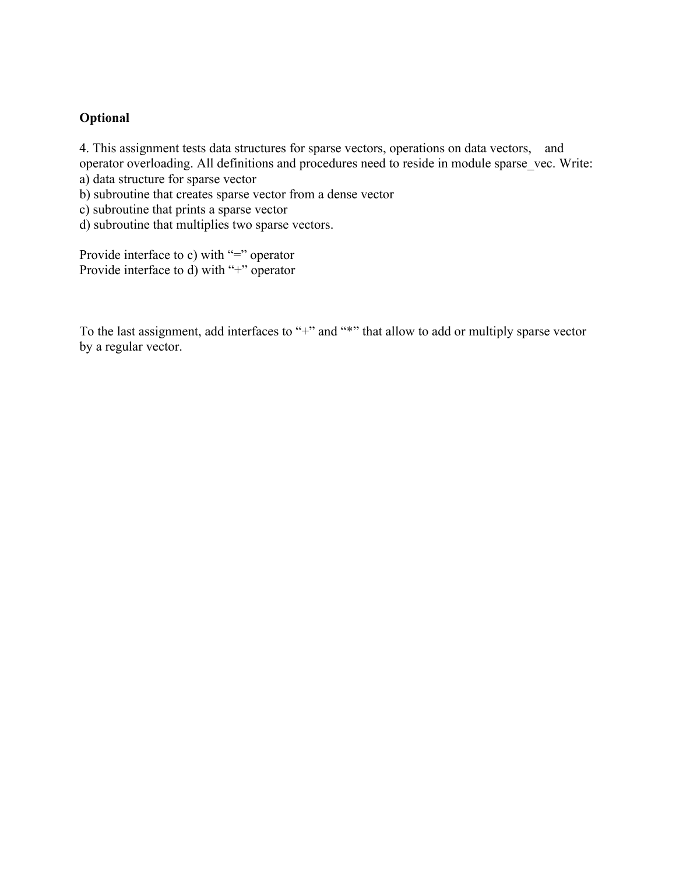4. This assignment tests data structures for sparse vectors, operations on data vectors, and operator overloading. All definitions and procedures need to reside in module sparse vec. Write: a) data structure for sparse vector

b) subroutine that creates sparse vector from a dense vector

c) subroutine that prints a sparse vector

d) subroutine that multiplies two sparse vectors.

Provide interface to c) with "=" operator Provide interface to d) with "+" operator

To the last assignment, add interfaces to "+" and "\*" that allow to add or multiply sparse vector by a regular vector.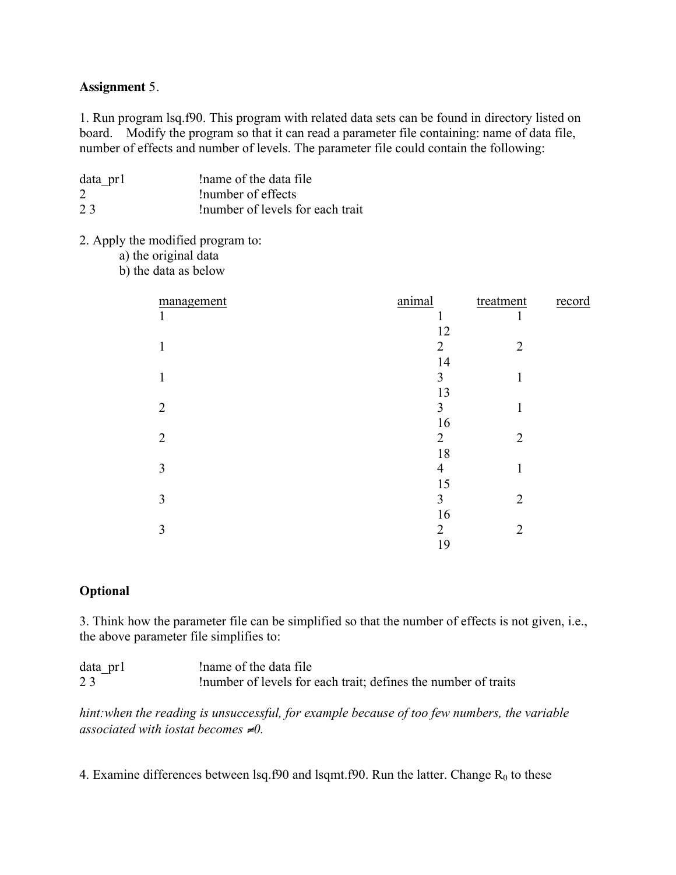#### **Assignment** 5.

1. Run program lsq.f90. This program with related data sets can be found in directory listed on board. Modify the program so that it can read a parameter file containing: name of data file, number of effects and number of levels. The parameter file could contain the following:

| data pr1 | Iname of the data file           |
|----------|----------------------------------|
| 2        | Inumber of effects               |
| 23       | Inumber of levels for each trait |

### 2. Apply the modified program to:

- a) the original data
- b) the data as below

| management     | animal         | treatment      | record |
|----------------|----------------|----------------|--------|
| 1              | 1              | 1              |        |
|                | 12             |                |        |
|                | 2              | $\overline{2}$ |        |
|                | 14             |                |        |
| 1              | 3              | 1              |        |
|                | 13             |                |        |
| $\overline{2}$ | $\overline{3}$ | 1              |        |
|                | 16             |                |        |
| $\overline{2}$ | $\overline{2}$ | $\overline{2}$ |        |
|                | 18             |                |        |
| 3              | $\overline{4}$ | 1              |        |
|                | 15             |                |        |
| 3              | $\overline{3}$ | $\overline{2}$ |        |
|                | 16             |                |        |
| 3              | $\overline{2}$ | $\overline{2}$ |        |
|                | 19             |                |        |

#### **Optional**

3. Think how the parameter file can be simplified so that the number of effects is not given, i.e., the above parameter file simplifies to:

| data pr1 | Iname of the data file                                         |
|----------|----------------------------------------------------------------|
| 23       | Inumber of levels for each trait; defines the number of traits |

*hint:when the reading is unsuccessful, for example because of too few numbers, the variable associated with iostat becomes* ≠*0.* 

4. Examine differences between lsq.f90 and lsqmt.f90. Run the latter. Change  $R_0$  to these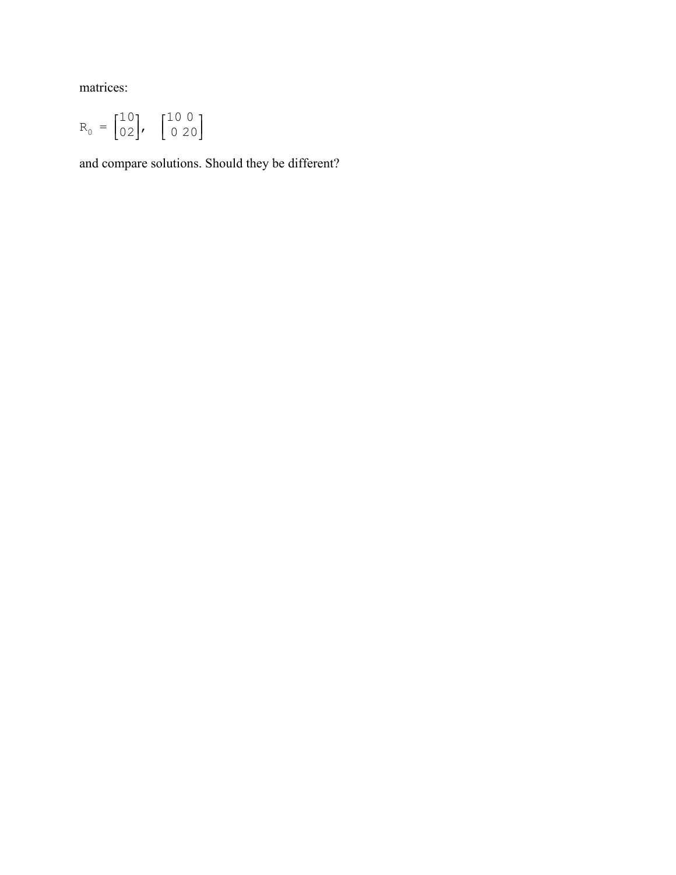matrices:

$$
R_0 = \begin{bmatrix} 10 \\ 02 \end{bmatrix}, \quad \begin{bmatrix} 10 & 0 \\ 0 & 20 \end{bmatrix}
$$

and compare solutions. Should they be different?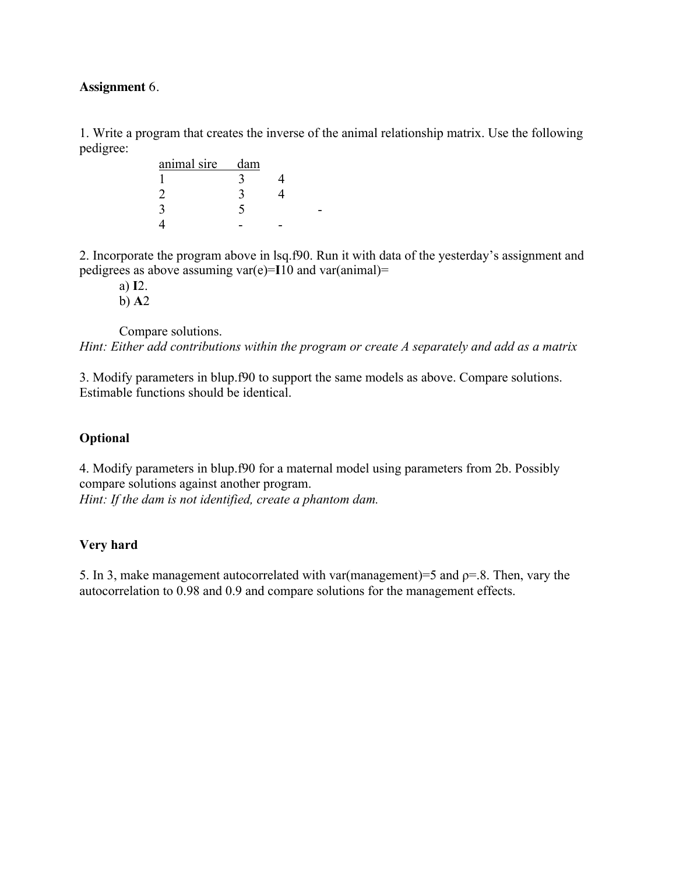#### **Assignment** 6.

1. Write a program that creates the inverse of the animal relationship matrix. Use the following pedigree:

| animal sire | dam |  |
|-------------|-----|--|
|             |     |  |
|             |     |  |
|             |     |  |
|             |     |  |

2. Incorporate the program above in lsq.f90. Run it with data of the yesterday's assignment and pedigrees as above assuming var(e)=**I**10 and var(animal)=

a) **I**2. b) **A**2

Compare solutions.

*Hint: Either add contributions within the program or create A separately and add as a matrix*

3. Modify parameters in blup.f90 to support the same models as above. Compare solutions. Estimable functions should be identical.

## **Optional**

4. Modify parameters in blup.f90 for a maternal model using parameters from 2b. Possibly compare solutions against another program. *Hint: If the dam is not identified, create a phantom dam.* 

## **Very hard**

5. In 3, make management autocorrelated with var(management)=5 and  $p=8$ . Then, vary the autocorrelation to 0.98 and 0.9 and compare solutions for the management effects.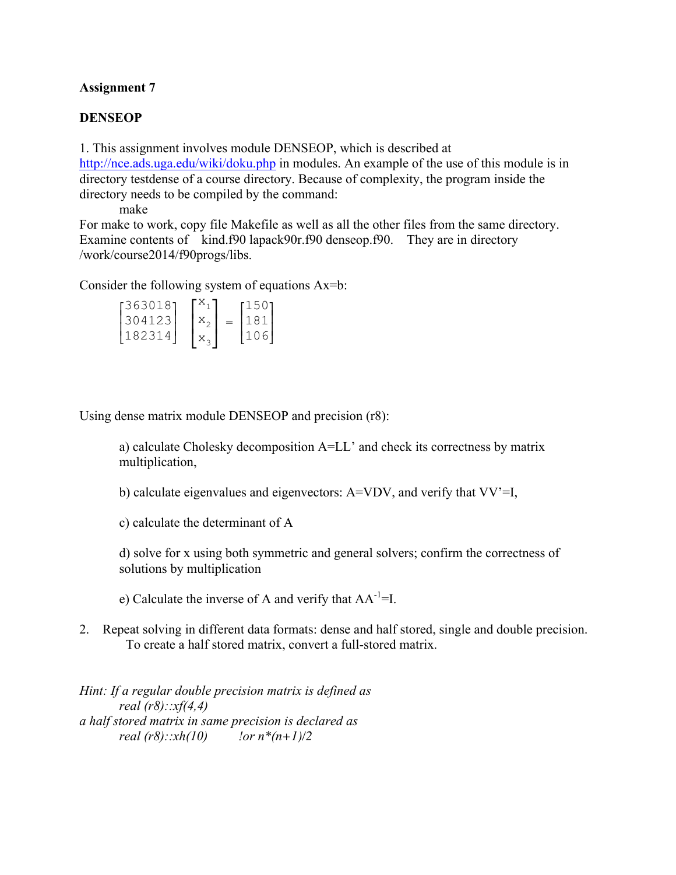## **Assignment 7**

### **DENSEOP**

1. This assignment involves module DENSEOP, which is described at http://nce.ads.uga.edu/wiki/doku.php in modules. An example of the use of this module is in directory testdense of a course directory. Because of complexity, the program inside the directory needs to be compiled by the command:

make

For make to work, copy file Makefile as well as all the other files from the same directory. Examine contents of kind.f90 lapack90r.f90 denseop.f90. They are in directory /work/course2014/f90progs/libs.

Consider the following system of equations Ax=b:

| [363018] |  | 150  |  |
|----------|--|------|--|
| 304123   |  | 181  |  |
| 182314   |  | 1106 |  |

Using dense matrix module DENSEOP and precision (r8):

a) calculate Cholesky decomposition A=LL' and check its correctness by matrix multiplication,

b) calculate eigenvalues and eigenvectors: A=VDV, and verify that VV'=I,

c) calculate the determinant of A

d) solve for x using both symmetric and general solvers; confirm the correctness of solutions by multiplication

e) Calculate the inverse of A and verify that  $AA^{-1}$ =I.

2. Repeat solving in different data formats: dense and half stored, single and double precision. To create a half stored matrix, convert a full-stored matrix.

*Hint: If a regular double precision matrix is defined as real (r8)::xf(4,4) a half stored matrix in same precision is declared as real (r8)::xh(10) !or n\*(n+1)/2*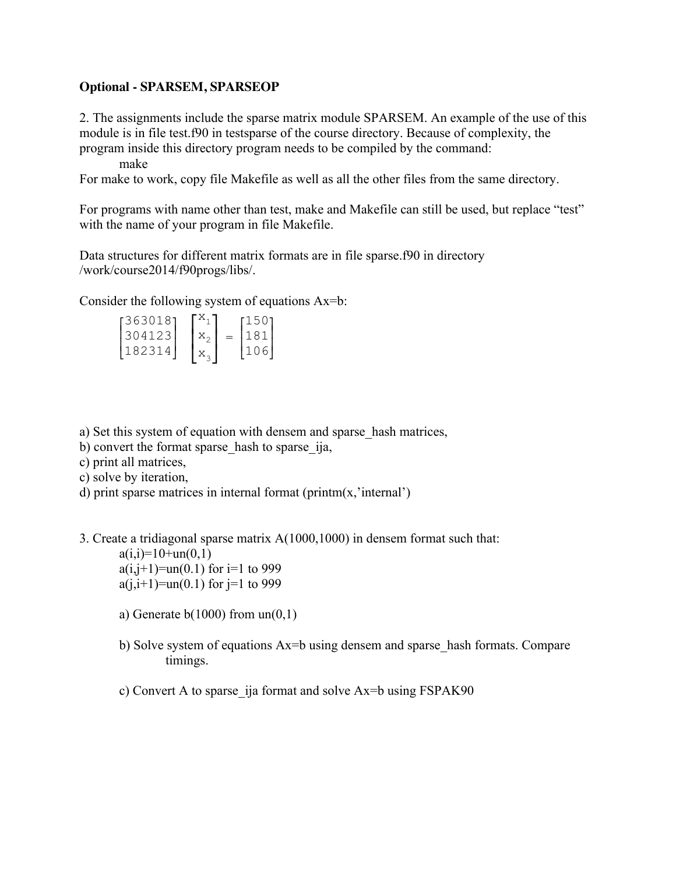### **Optional - SPARSEM, SPARSEOP**

2. The assignments include the sparse matrix module SPARSEM. An example of the use of this module is in file test.f90 in testsparse of the course directory. Because of complexity, the program inside this directory program needs to be compiled by the command:

make

For make to work, copy file Makefile as well as all the other files from the same directory.

For programs with name other than test, make and Makefile can still be used, but replace "test" with the name of your program in file Makefile.

Data structures for different matrix formats are in file sparse.f90 in directory /work/course2014/f90progs/libs/.

Consider the following system of equations Ax=b:

| [363018] |  | 1501 |
|----------|--|------|
| 13041231 |  | 181  |
| 182314   |  | 1106 |

a) Set this system of equation with densem and sparse\_hash matrices,

b) convert the format sparse hash to sparse ija,

c) print all matrices,

c) solve by iteration,

d) print sparse matrices in internal format (printm(x, 'internal')

3. Create a tridiagonal sparse matrix A(1000,1000) in densem format such that:

 $a(i,i)=10+un(0,1)$ 

 $a(i,j+1)=un(0.1)$  for  $i=1$  to 999  $a(i,i+1)=un(0,1)$  for  $i=1$  to 999

- a) Generate  $b(1000)$  from  $un(0,1)$
- b) Solve system of equations Ax=b using densem and sparse hash formats. Compare timings.

c) Convert A to sparse\_ija format and solve Ax=b using FSPAK90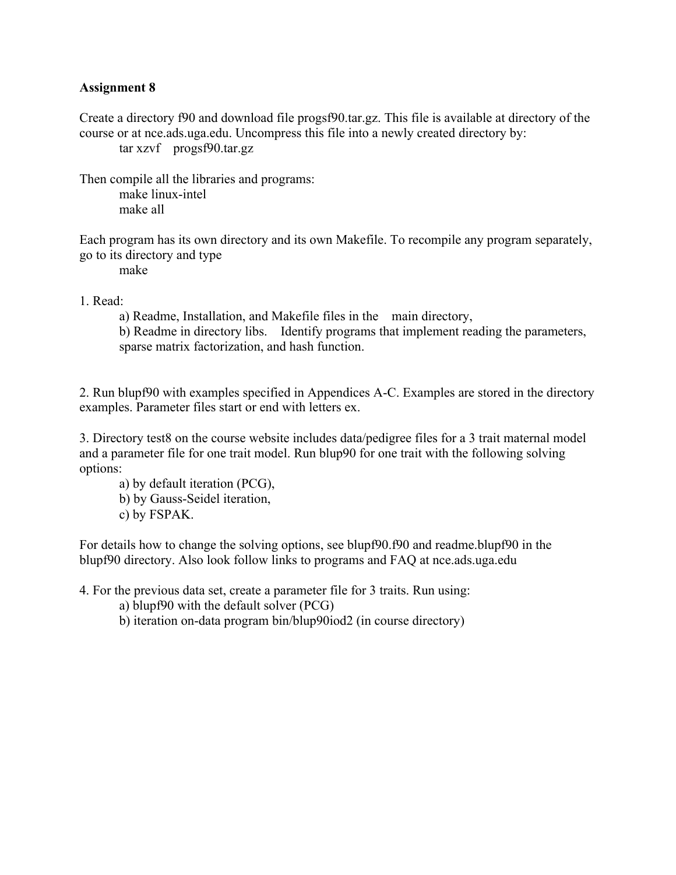### **Assignment 8**

Create a directory f90 and download file progsf90.tar.gz. This file is available at directory of the course or at nce.ads.uga.edu. Uncompress this file into a newly created directory by: tar xzvf progsf90.tar.gz

Then compile all the libraries and programs: make linux-intel make all

Each program has its own directory and its own Makefile. To recompile any program separately, go to its directory and type

make

1. Read:

a) Readme, Installation, and Makefile files in the main directory, b) Readme in directory libs. Identify programs that implement reading the parameters, sparse matrix factorization, and hash function.

2. Run blupf90 with examples specified in Appendices A-C. Examples are stored in the directory examples. Parameter files start or end with letters ex.

3. Directory test8 on the course website includes data/pedigree files for a 3 trait maternal model and a parameter file for one trait model. Run blup90 for one trait with the following solving options:

a) by default iteration (PCG),

b) by Gauss-Seidel iteration,

c) by FSPAK.

For details how to change the solving options, see blupf90.f90 and readme.blupf90 in the blupf90 directory. Also look follow links to programs and FAQ at nce.ads.uga.edu

4. For the previous data set, create a parameter file for 3 traits. Run using:

a) blupf90 with the default solver (PCG)

b) iteration on-data program bin/blup90iod2 (in course directory)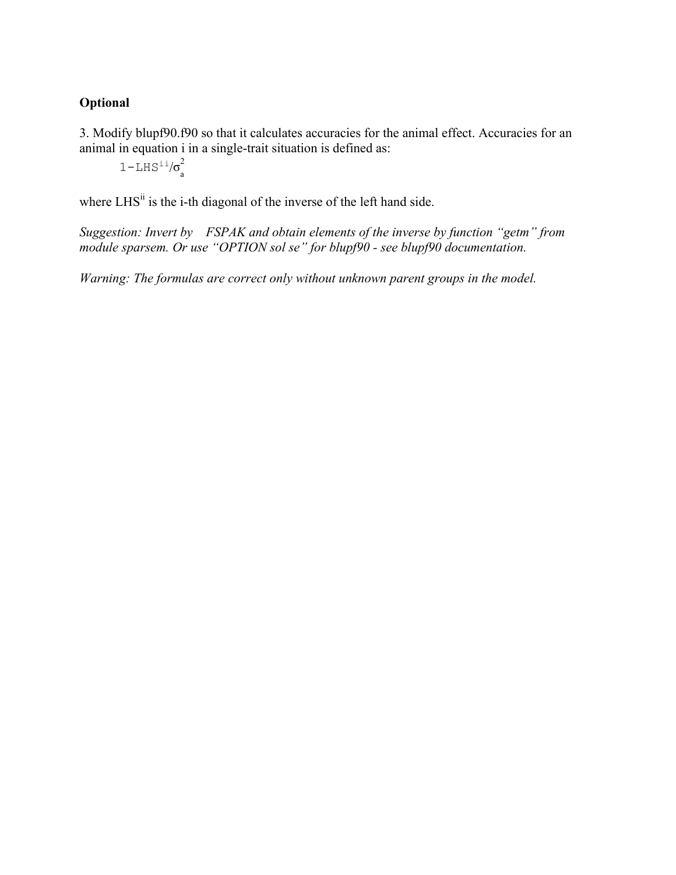3. Modify blupf90.f90 so that it calculates accuracies for the animal effect. Accuracies for an animal in equation i in a single-trait situation is defined as:

 $1-\text{LHS}^{\text{i}i}/\sigma^2$ ∠<br>a

where LHS<sup>ii</sup> is the i-th diagonal of the inverse of the left hand side.

*Suggestion: Invert by FSPAK and obtain elements of the inverse by function "getm" from module sparsem. Or use "OPTION sol se" for blupf90 - see blupf90 documentation.*

*Warning: The formulas are correct only without unknown parent groups in the model.*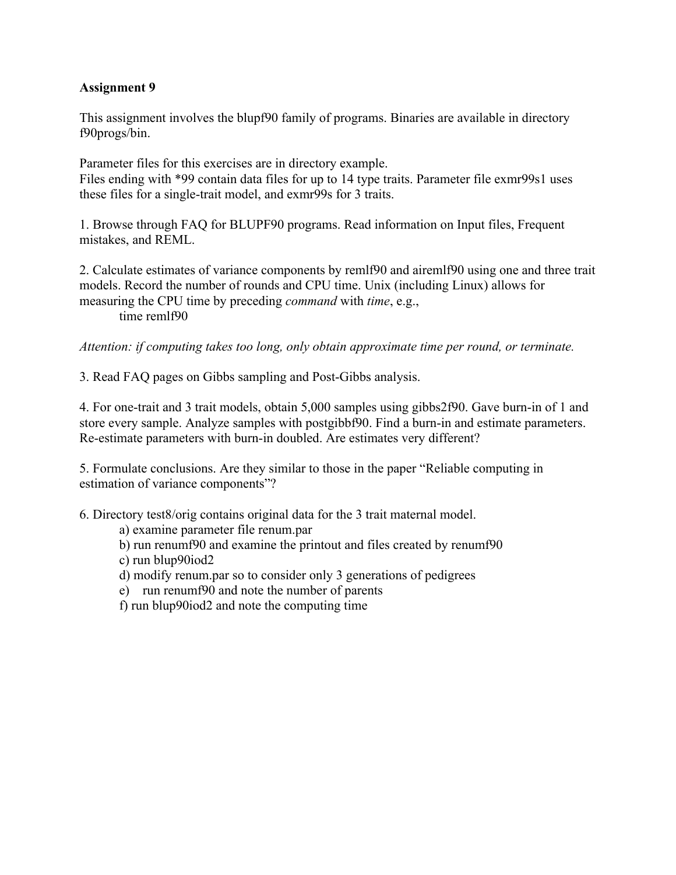## **Assignment 9**

This assignment involves the blupf90 family of programs. Binaries are available in directory f90progs/bin.

Parameter files for this exercises are in directory example. Files ending with \*99 contain data files for up to 14 type traits. Parameter file exmr99s1 uses these files for a single-trait model, and exmr99s for 3 traits.

1. Browse through FAQ for BLUPF90 programs. Read information on Input files, Frequent mistakes, and REML.

2. Calculate estimates of variance components by remlf90 and airemlf90 using one and three trait models. Record the number of rounds and CPU time. Unix (including Linux) allows for measuring the CPU time by preceding *command* with *time*, e.g., time remlf90

*Attention: if computing takes too long, only obtain approximate time per round, or terminate.*

3. Read FAQ pages on Gibbs sampling and Post-Gibbs analysis.

4. For one-trait and 3 trait models, obtain 5,000 samples using gibbs2f90. Gave burn-in of 1 and store every sample. Analyze samples with postgibbf90. Find a burn-in and estimate parameters. Re-estimate parameters with burn-in doubled. Are estimates very different?

5. Formulate conclusions. Are they similar to those in the paper "Reliable computing in estimation of variance components"?

6. Directory test8/orig contains original data for the 3 trait maternal model.

a) examine parameter file renum.par

b) run renumf90 and examine the printout and files created by renumf90

c) run blup90iod2

- d) modify renum.par so to consider only 3 generations of pedigrees
- e) run renumf90 and note the number of parents

f) run blup90iod2 and note the computing time